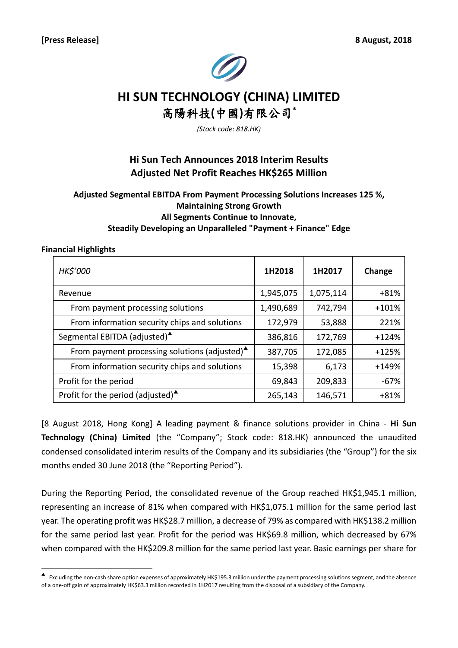

# **HI SUN TECHNOLOGY (CHINA) LIMITED** 高陽科技**(**中國**)**有限公司**\***

*(Stock code: 818.HK)*

## **Hi Sun Tech Announces 2018 Interim Results Adjusted Net Profit Reaches HK\$265 Million**

## **Adjusted Segmental EBITDA From Payment Processing Solutions Increases 125 %, Maintaining Strong Growth All Segments Continue to Innovate, Steadily Developing an Unparalleled "Payment + Finance" Edge**

#### **Financial Highlights**

| <b>HK\$'000</b>                                           | 1H2018    | 1H2017    | Change  |
|-----------------------------------------------------------|-----------|-----------|---------|
| Revenue                                                   | 1,945,075 | 1,075,114 | $+81%$  |
| From payment processing solutions                         | 1,490,689 | 742,794   | $+101%$ |
| From information security chips and solutions             | 172,979   | 53,888    | 221%    |
| Segmental EBITDA (adjusted) <sup>4</sup>                  | 386,816   | 172,769   | $+124%$ |
| From payment processing solutions (adjusted) <sup>4</sup> | 387,705   | 172,085   | $+125%$ |
| From information security chips and solutions             | 15,398    | 6,173     | +149%   |
| Profit for the period                                     | 69,843    | 209,833   | $-67%$  |
| Profit for the period (adjusted) $\triangle$              | 265,143   | 146,571   | $+81%$  |

[8 August 2018, Hong Kong] A leading payment & finance solutions provider in China - **Hi Sun Technology (China) Limited** (the "Company"; Stock code: 818.HK) announced the unaudited condensed consolidated interim results of the Company and its subsidiaries (the "Group") for the six months ended 30 June 2018 (the "Reporting Period").

During the Reporting Period, the consolidated revenue of the Group reached HK\$1,945.1 million, representing an increase of 81% when compared with HK\$1,075.1 million for the same period last year. The operating profit was HK\$28.7 million, a decrease of 79% as compared with HK\$138.2 million for the same period last year. Profit for the period was HK\$69.8 million, which decreased by 67% when compared with the HK\$209.8 million for the same period last year. Basic earnings per share for

<sup>▲&</sup>lt;br>▲ Excluding the non-cash share option expenses of approximately HK\$195.3 million under the payment processing solutions segment, and the absence of a one-off gain of approximately HK\$63.3 million recorded in 1H2017 resulting from the disposal of a subsidiary of the Company.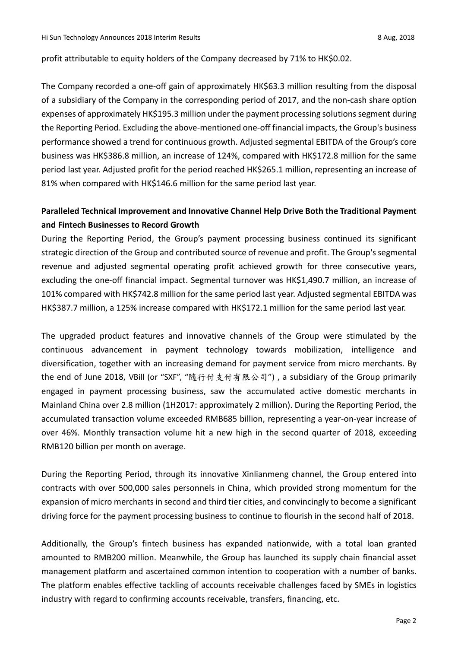profit attributable to equity holders of the Company decreased by 71% to HK\$0.02.

The Company recorded a one-off gain of approximately HK\$63.3 million resulting from the disposal of a subsidiary of the Company in the corresponding period of 2017, and the non-cash share option expenses of approximately HK\$195.3 million under the payment processing solutions segment during the Reporting Period. Excluding the above-mentioned one-off financial impacts, the Group's business performance showed a trend for continuous growth. Adjusted segmental EBITDA of the Group's core business was HK\$386.8 million, an increase of 124%, compared with HK\$172.8 million for the same period last year. Adjusted profit for the period reached HK\$265.1 million, representing an increase of 81% when compared with HK\$146.6 million for the same period last year.

## **Paralleled Technical Improvement and Innovative Channel Help Drive Both the Traditional Payment and Fintech Businesses to Record Growth**

During the Reporting Period, the Group's payment processing business continued its significant strategic direction of the Group and contributed source of revenue and profit. The Group's segmental revenue and adjusted segmental operating profit achieved growth for three consecutive years, excluding the one-off financial impact. Segmental turnover was HK\$1,490.7 million, an increase of 101% compared with HK\$742.8 million for the same period last year. Adjusted segmental EBITDA was HK\$387.7 million, a 125% increase compared with HK\$172.1 million for the same period last year.

The upgraded product features and innovative channels of the Group were stimulated by the continuous advancement in payment technology towards mobilization, intelligence and diversification, together with an increasing demand for payment service from micro merchants. By the end of June 2018, VBill (or "SXF", "隨行付支付有限公司") , a subsidiary of the Group primarily engaged in payment processing business, saw the accumulated active domestic merchants in Mainland China over 2.8 million (1H2017: approximately 2 million). During the Reporting Period, the accumulated transaction volume exceeded RMB685 billion, representing a year-on-year increase of over 46%. Monthly transaction volume hit a new high in the second quarter of 2018, exceeding RMB120 billion per month on average.

During the Reporting Period, through its innovative Xinlianmeng channel, the Group entered into contracts with over 500,000 sales personnels in China, which provided strong momentum for the expansion of micro merchants in second and third tier cities, and convincingly to become a significant driving force for the payment processing business to continue to flourish in the second half of 2018.

Additionally, the Group's fintech business has expanded nationwide, with a total loan granted amounted to RMB200 million. Meanwhile, the Group has launched its supply chain financial asset management platform and ascertained common intention to cooperation with a number of banks. The platform enables effective tackling of accounts receivable challenges faced by SMEs in logistics industry with regard to confirming accounts receivable, transfers, financing, etc.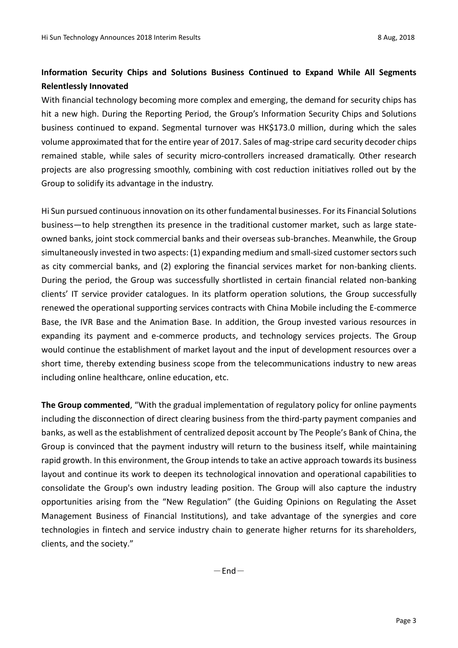## **Information Security Chips and Solutions Business Continued to Expand While All Segments Relentlessly Innovated**

With financial technology becoming more complex and emerging, the demand for security chips has hit a new high. During the Reporting Period, the Group's Information Security Chips and Solutions business continued to expand. Segmental turnover was HK\$173.0 million, during which the sales volume approximated that for the entire year of 2017. Sales of mag-stripe card security decoder chips remained stable, while sales of security micro-controllers increased dramatically. Other research projects are also progressing smoothly, combining with cost reduction initiatives rolled out by the Group to solidify its advantage in the industry.

Hi Sun pursued continuous innovation on its other fundamental businesses. For its Financial Solutions business—to help strengthen its presence in the traditional customer market, such as large stateowned banks, joint stock commercial banks and their overseas sub-branches. Meanwhile, the Group simultaneously invested in two aspects: (1) expanding medium and small-sized customer sectors such as city commercial banks, and (2) exploring the financial services market for non-banking clients. During the period, the Group was successfully shortlisted in certain financial related non-banking clients' IT service provider catalogues. In its platform operation solutions, the Group successfully renewed the operational supporting services contracts with China Mobile including the E-commerce Base, the IVR Base and the Animation Base. In addition, the Group invested various resources in expanding its payment and e-commerce products, and technology services projects. The Group would continue the establishment of market layout and the input of development resources over a short time, thereby extending business scope from the telecommunications industry to new areas including online healthcare, online education, etc.

**The Group commented**, "With the gradual implementation of regulatory policy for online payments including the disconnection of direct clearing business from the third-party payment companies and banks, as well as the establishment of centralized deposit account by The People's Bank of China, the Group is convinced that the payment industry will return to the business itself, while maintaining rapid growth. In this environment, the Group intends to take an active approach towards its business layout and continue its work to deepen its technological innovation and operational capabilities to consolidate the Group's own industry leading position. The Group will also capture the industry opportunities arising from the "New Regulation" (the Guiding Opinions on Regulating the Asset Management Business of Financial Institutions), and take advantage of the synergies and core technologies in fintech and service industry chain to generate higher returns for its shareholders, clients, and the society."

 $-$ End $-$